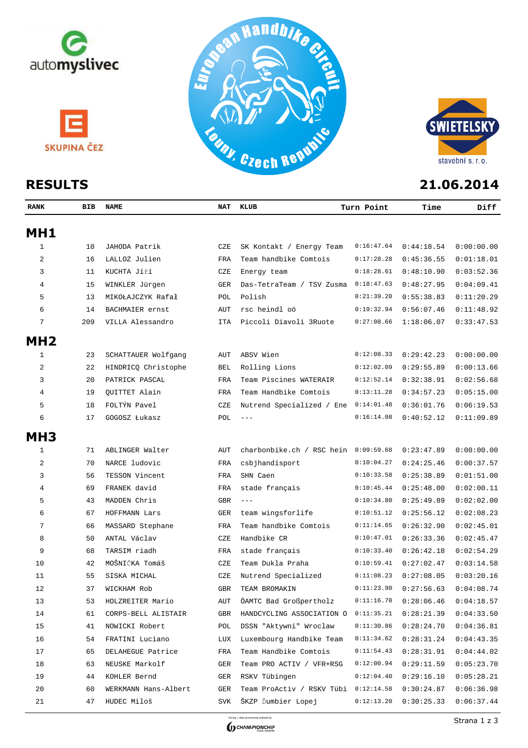



| <b>RANK</b>     | BIB | NAME                 |            | NAT KLUB                             | Turn Point | Time       | Diff       |
|-----------------|-----|----------------------|------------|--------------------------------------|------------|------------|------------|
| MH1             |     |                      |            |                                      |            |            |            |
| 1               | 10  | JAHODA Patrik        | CZE        | SK Kontakt / Energy Team             | 0:16:47.64 | 0:44:18.54 | 0:00:00.00 |
| 2               | 16  | LALLOZ Julien        | FRA        | Team handbike Comtois                | 0:17:28.28 | 0:45:36.55 | 0:01:18.01 |
| 3               | 11  | KUCHTA Jiří          | CZE        | Energy team                          | 0:18:28.61 | 0:48:10.90 | 0:03:52.36 |
| 4               | 15  | WINKLER Jürgen       | GER        | Das-TetraTeam / TSV Zusma            | 0:18:47.63 | 0:48:27.95 | 0:04:09.41 |
| 5               | 13  | MIKOŁAJCZYK Rafał    | POL        | Polish                               | 0:21:39.20 | 0:55:38.83 | 0:11:20.29 |
| 6               | 14  | BACHMAIER ernst      | AUT        | rsc heindl oö                        | 0:19:32.94 | 0:56:07.46 | 0:11:48.92 |
| 7               | 209 | VILLA Alessandro     | ITA        | Piccoli Diavoli 3Ruote               | 0:27:08.66 | 1:18:06.07 | 0:33:47.53 |
| MH <sub>2</sub> |     |                      |            |                                      |            |            |            |
| 1               | 23  | SCHATTAUER Wolfgang  | AUT        | ABSV Wien                            | 0:12:08.33 | 0:29:42.23 | 0:00:00.00 |
| 2               | 22  | HINDRICQ Christophe  | BEL        | Rolling Lions                        | 0:12:02.09 | 0:29:55.89 | 0:00:13.66 |
| 3               | 20  | PATRICK PASCAL       | FRA        | Team Piscines WATERAIR               | 0:12:52.14 | 0:32:38.91 | 0:02:56.68 |
| 4               | 19  | QUITTET Alain        | FRA        | Team Handbike Comtois                | 0:13:11.28 | 0:34:57.23 | 0:05:15.00 |
| 5               | 18  | FOLTÝN Pavel         | CZE        | Nutrend Specialized / Ene            | 0:14:01.48 | 0:36:01.76 | 0:06:19.53 |
| 6               | 17  | GOGOSZ Łukasz        | POL        | $- - -$                              | 0:16:14.08 | 0:40:52.12 | 0:11:09.89 |
| MH <sub>3</sub> |     |                      |            |                                      |            |            |            |
| 1               | 71  | ABLINGER Walter      | AUT        | charbonbike.ch / RSC hein 0:09:59.68 |            | 0:23:47.89 | 0:00:00.00 |
| 2               | 70  | NARCE ludovic        | FRA        | csbjhandisport                       | 0:10:04.27 | 0:24:25.46 | 0:00:37.57 |
| 3               | 56  | TESSON Vincent       | FRA        | SHN Caen                             | 0:10:33.58 | 0:25:38.89 | 0:01:51.00 |
| 4               | 69  | FRANEK david         | FRA        | stade français                       | 0:10:45.44 | 0:25:48.00 | 0:02:00.11 |
| 5               | 43  | MADDEN Chris         | <b>GBR</b> | $\frac{1}{2}$                        | 0:10:34.80 | 0:25:49.89 | 0:02:02.00 |
| 6               | 67  | HOFFMANN Lars        | GER        | team wingsforlife                    | 0:10:51.12 | 0:25:56.12 | 0:02:08.23 |
| 7               | 66  | MASSARD Stephane     | FRA        | Team handbike Comtois                | 0:11:14.65 | 0:26:32.90 | 0:02:45.01 |
| 8               | 50  | ANTAL Václav         | CZE        | Handbike CR                          | 0:10:47.01 | 0:26:33.36 | 0:02:45.47 |
| 9               | 68  | TARSIM riadh         | FRA        | stade français                       | 0:10:33.40 | 0:26:42.18 | 0:02:54.29 |
| 10              | 42  | MOŠNIČKA Tomáš       | CZE        | Team Dukla Praha                     | 0:10:59.41 | 0:27:02.47 | 0:03:14.58 |
| 11              | 55  | SISKA MICHAL         | CZE        | Nutrend Specialized                  | 0:11:08.23 | 0:27:08.05 | 0:03:20.16 |
| 12              | 37  | WICKHAM Rob          | <b>GBR</b> | TEAM BROMAKIN                        | 0:11:23.90 | 0:27:56.63 | 0:04:08.74 |
| 13              | 53  | HOLZREITER Mario     | AUT        | ÖAMTC Bad Großpertholz               | 0:11:16.70 | 0:28:06.46 | 0:04:18.57 |
| 14              | 61  | CORPS-BELL ALISTAIR  | GBR        | HANDCYCLING ASSOCIATION O            | 0:11:35.21 | 0:28:21.39 | 0:04:33.50 |
| 15              | 41  | NOWICKI Robert       | POL        | DSSN "Aktywni" Wroclaw               | 0:11:30.86 | 0:28:24.70 | 0:04:36.81 |
| 16              | 54  | FRATINI Luciano      | LUX        | Luxembourg Handbike Team             | 0:11:34.62 | 0:28:31.24 | 0:04:43.35 |
| 17              | 65  | DELAHEGUE Patrice    | FRA        | Team Handbike Comtois                | 0:11:54.43 | 0:28:31.91 | 0:04:44.02 |
| 18              | 63  | NEUSKE Markolf       | GER        | Team PRO ACTIV / VFR+RSG             | 0:12:00.94 | 0:29:11.59 | 0:05:23.70 |
| 19              | 44  | KOHLER Bernd         | GER        | RSKV Tübingen                        | 0:12:04.40 | 0:29:16.10 | 0:05:28.21 |
| 20              | 60  | WERKMANN Hans-Albert | GER        | Team ProActiv / RSKV Tübi            | 0:12:14.58 | 0:30:24.87 | 0:06:36.98 |
| 21              | 47  | HUDEC Miloš          | SVK        | ŠKZP Ďumbier Lopej                   | 0:12:13.20 | 0:30:25.33 | 0:06:37.44 |

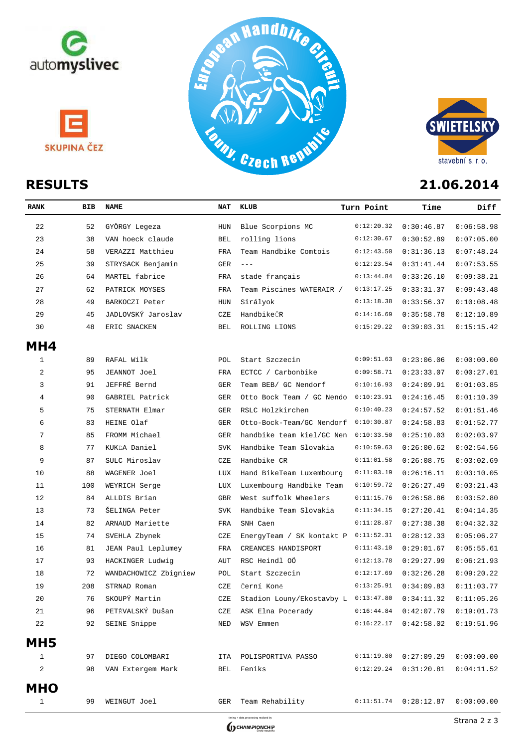







| <b>RANK</b>     | <b>BIB</b> | <b>NAME</b>           | <b>NAT</b> | KLUB                      | Turn Point | Time       | Diff       |
|-----------------|------------|-----------------------|------------|---------------------------|------------|------------|------------|
| 22              | 52         | GYÖRGY Legeza         | <b>HUN</b> | Blue Scorpions MC         | 0:12:20.32 | 0:30:46.87 | 0:06:58.98 |
| 23              | 38         | VAN hoeck claude      | <b>BEL</b> | rolling lions             | 0:12:30.67 | 0:30:52.89 | 0:07:05.00 |
| 24              | 58         | VERAZZI Matthieu      | <b>FRA</b> | Team Handbike Comtois     | 0:12:43.50 | 0:31:36.13 | 0:07:48.24 |
| 25              | 39         | STRYSACK Benjamin     | GER        | $\frac{1}{2}$             | 0:12:23.54 | 0:31:41.44 | 0:07:53.55 |
| 26              | 64         | MARTEL fabrice        | FRA        | stade français            | 0:13:44.84 | 0:33:26.10 | 0:09:38.21 |
| 27              | 62         | PATRICK MOYSES        | FRA        | Team Piscines WATERAIR /  | 0:13:17.25 | 0:33:31.37 | 0:09:43.48 |
| 28              | 49         | BARKOCZI Peter        | <b>HUN</b> | Sirályok                  | 0:13:18.38 | 0:33:56.37 | 0:10:08.48 |
| 29              | 45         | JADLOVSKÝ Jaroslav    | CZE        | HandbikeČR                | 0:14:16.69 | 0:35:58.78 | 0:12:10.89 |
| 30              | 48         | ERIC SNACKEN          | <b>BEL</b> | ROLLING LIONS             | 0:15:29.22 | 0:39:03.31 | 0:15:15.42 |
| MH4             |            |                       |            |                           |            |            |            |
| $\mathbf 1$     | 89         | RAFAL Wilk            | POL        | Start Szczecin            | 0:09:51.63 | 0:23:06.06 | 0:00:00.00 |
| 2               | 95         | JEANNOT Joel          | FRA        | ECTCC / Carbonbike        | 0:09:58.71 | 0:23:33.07 | 0:00:27.01 |
| 3               | 91         | JEFFRÉ Bernd          | <b>GER</b> | Team BEB/ GC Nendorf      | 0:10:16.93 | 0:24:09.91 | 0:01:03.85 |
| 4               | 90         | GABRIEL Patrick       | GER        | Otto Bock Team / GC Nendo | 0:10:23.91 | 0:24:16.45 | 0:01:10.39 |
| 5               | 75         | STERNATH Elmar        | GER        | RSLC Holzkirchen          | 0:10:40.23 | 0:24:57.52 | 0:01:51.46 |
| 6               | 83         | HEINE Olaf            | <b>GER</b> | Otto-Bock-Team/GC Nendorf | 0:10:30.87 | 0:24:58.83 | 0:01:52.77 |
| 7               | 85         | FROMM Michael         | GER        | handbike team kiel/GC Nen | 0:10:33.50 | 0:25:10.03 | 0:02:03.97 |
| 8               | 77         | KUKLA Daniel          | SVK        | Handbike Team Slovakia    | 0:10:59.63 | 0:26:00.62 | 0:02:54.56 |
| 9               | 87         | SULC Miroslav         | CZE        | Handbike CR               | 0:11:01.58 | 0:26:08.75 | 0:03:02.69 |
| 10              | 88         | WAGENER Joel          | LUX        | Hand BikeTeam Luxembourg  | 0:11:03.19 | 0:26:16.11 | 0:03:10.05 |
| 11              | 100        | WEYRICH Serge         | LUX        | Luxembourg Handbike Team  | 0:10:59.72 | 0:26:27.49 | 0:03:21.43 |
| 12              | 84         | ALLDIS Brian          | <b>GBR</b> | West suffolk Wheelers     | 0:11:15.76 | 0:26:58.86 | 0:03:52.80 |
| 13              | 73         | ŠELINGA Peter         | <b>SVK</b> | Handbike Team Slovakia    | 0:11:34.15 | 0:27:20.41 | 0:04:14.35 |
| 14              | 82         | ARNAUD Mariette       | FRA        | SNH Caen                  | 0:11:28.87 | 0:27:38.38 | 0:04:32.32 |
| 15              | 74         | SVEHLA Zbynek         | CZE        | EnergyTeam / SK kontakt P | 0:11:52.31 | 0:28:12.33 | 0:05:06.27 |
| 16              | 81         | JEAN Paul Leplumey    | FRA        | CREANCES HANDISPORT       | 0:11:43.10 | 0:29:01.67 | 0:05:55.61 |
| 17              | 93         | HACKINGER Ludwig      | AUT        | RSC Heindl OÖ             | 0:12:13.78 | 0:29:27.99 | 0:06:21.93 |
| 18              | 72         | WANDACHOWICZ Zbigniew | POL        | Start Szczecin            | 0:12:17.69 | 0:32:26.28 | 0:09:20.22 |
| 19              | 208        | STRNAD Roman          | CZE        | Černí Koně                | 0:13:25.91 | 0:34:09.83 | 0:11:03.77 |
| 20              | 76         | SKOUPÝ Martin         | CZE        | Stadion Louny/Ekostavby L | 0:13:47.80 | 0:34:11.32 | 0:11:05.26 |
| 21              | 96         | PETŘVALSKÝ Dušan      | CZE        | ASK Elna Počerady         | 0:16:44.84 | 0:42:07.79 | 0:19:01.73 |
| 22              | 92         | SEINE Snippe          | NED        | WSV Emmen                 | 0:16:22.17 | 0:42:58.02 | 0:19:51.96 |
| MH <sub>5</sub> |            |                       |            |                           |            |            |            |
| 1               | 97         | DIEGO COLOMBARI       | ITA        | POLISPORTIVA PASSO        | 0:11:19.80 | 0:27:09.29 | 0:00:00.00 |
| 2               | 98         | VAN Extergem Mark     | BEL        | Feniks                    | 0:12:29.24 | 0:31:20.81 | 0:04:11.52 |
| <b>MHO</b>      |            |                       |            |                           |            |            |            |
| $\mathbf{1}$    | 99         | WEINGUT Joel          | GER        | Team Rehability           | 0:11:51.74 | 0:28:12.87 | 0:00:00.00 |